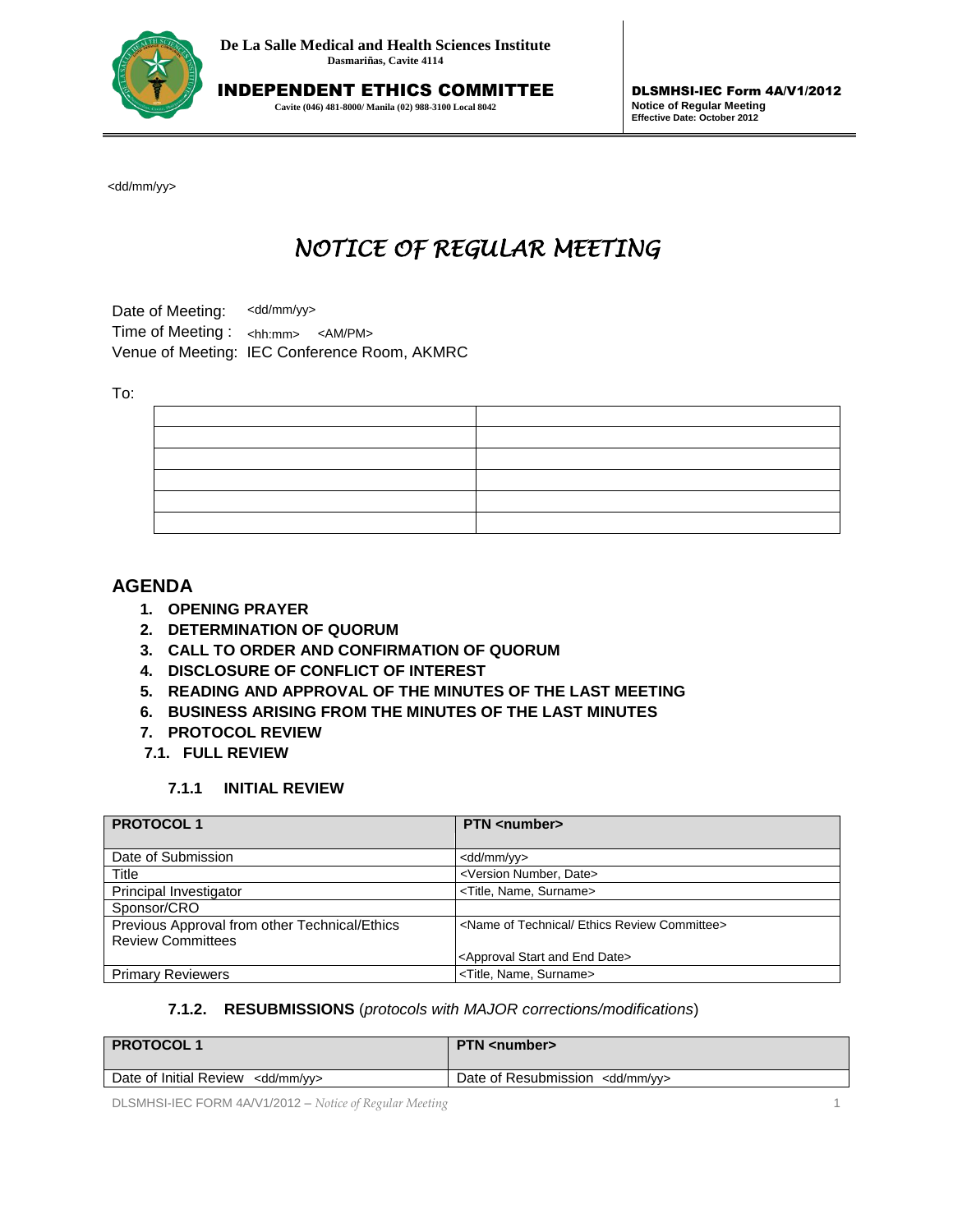

INDEPENDENT ETHICS COMMITTEE **Cavite (046) 481-8000/ Manila (02) 988-3100 Local 8042**

DLSMHSI-IEC Form 4A/V1/2012 **Notice of Regular Meeting Effective Date: October 2012**

# *NOTICE OF REGULAR MEETING*

#### To:

# **AGENDA**

- **1. OPENING PRAYER**
- **2. DETERMINATION OF QUORUM**
- **3. CALL TO ORDER AND CONFIRMATION OF QUORUM**
- **4. DISCLOSURE OF CONFLICT OF INTEREST**
- **5. READING AND APPROVAL OF THE MINUTES OF THE LAST MEETING**
- **6. BUSINESS ARISING FROM THE MINUTES OF THE LAST MINUTES**
- **7. PROTOCOL REVIEW**
- **7.1. FULL REVIEW**

#### **7.1.1 INITIAL REVIEW**

| <dd mm="" yy=""></dd>                                                                                                                                                                                                                                                                                                                                             |                                                                                                                 |
|-------------------------------------------------------------------------------------------------------------------------------------------------------------------------------------------------------------------------------------------------------------------------------------------------------------------------------------------------------------------|-----------------------------------------------------------------------------------------------------------------|
| NOTICE OF REGULAR MEETING                                                                                                                                                                                                                                                                                                                                         |                                                                                                                 |
| <dd mm="" yy=""><br/>Date of Meeting:<br/>Time of Meeting:<br/><math>\langle</math>hh:mm&gt; <math>\langle</math>AM/PM&gt;<br/>Venue of Meeting: IEC Conference Room, AKMRC</dd>                                                                                                                                                                                  |                                                                                                                 |
|                                                                                                                                                                                                                                                                                                                                                                   |                                                                                                                 |
| To:                                                                                                                                                                                                                                                                                                                                                               |                                                                                                                 |
|                                                                                                                                                                                                                                                                                                                                                                   |                                                                                                                 |
|                                                                                                                                                                                                                                                                                                                                                                   |                                                                                                                 |
|                                                                                                                                                                                                                                                                                                                                                                   |                                                                                                                 |
|                                                                                                                                                                                                                                                                                                                                                                   |                                                                                                                 |
|                                                                                                                                                                                                                                                                                                                                                                   |                                                                                                                 |
|                                                                                                                                                                                                                                                                                                                                                                   |                                                                                                                 |
| 1. OPENING PRAYER<br>2. DETERMINATION OF QUORUM<br>3. CALL TO ORDER AND CONFIRMATION OF QUORUM<br>4. DISCLOSURE OF CONFLICT OF INTEREST<br>5. READING AND APPROVAL OF THE MINUTES OF THE LAST MEETING<br>6. BUSINESS ARISING FROM THE MINUTES OF THE LAST MINUTES<br>7. PROTOCOL REVIEW<br>7.1. FULL REVIEW<br>7.1.1<br><b>INITIAL REVIEW</b><br><b>PROTOCOL1</b> | <b>PTN</b> <number></number>                                                                                    |
|                                                                                                                                                                                                                                                                                                                                                                   |                                                                                                                 |
| Date of Submission<br>Title                                                                                                                                                                                                                                                                                                                                       | <dd mm="" yy=""><br/><version date="" number,=""></version></dd>                                                |
| Principal Investigator                                                                                                                                                                                                                                                                                                                                            | <title, name,="" surname=""></title,>                                                                           |
| Sponsor/CRO                                                                                                                                                                                                                                                                                                                                                       |                                                                                                                 |
| Previous Approval from other Technical/Ethics                                                                                                                                                                                                                                                                                                                     |                                                                                                                 |
|                                                                                                                                                                                                                                                                                                                                                                   | <name committee="" ethics="" of="" review="" technical=""></name>                                               |
| <b>Review Committees</b>                                                                                                                                                                                                                                                                                                                                          |                                                                                                                 |
|                                                                                                                                                                                                                                                                                                                                                                   | <approval and="" date="" end="" start=""></approval>                                                            |
| <b>Primary Reviewers</b><br>7.1.2.                                                                                                                                                                                                                                                                                                                                | <title, name,="" surname=""><br/><b>RESUBMISSIONS</b> (protocols with MAJOR corrections/modifications)</title,> |
| <b>PROTOCOL1</b>                                                                                                                                                                                                                                                                                                                                                  | <b>PTN</b> <number></number>                                                                                    |

#### **7.1.2. RESUBMISSIONS** (*protocols with MAJOR corrections/modifications*)

| <b>PROTOCOL1</b>                             | <b>PTN</b> <number></number>               |
|----------------------------------------------|--------------------------------------------|
| Date of Initial Review <dd mm="" yy=""></dd> | Date of Resubmission <dd mm="" yy=""></dd> |

DLSMHSI-IEC FORM 4A/V1/2012 – *Notice of Regular Meeting* 1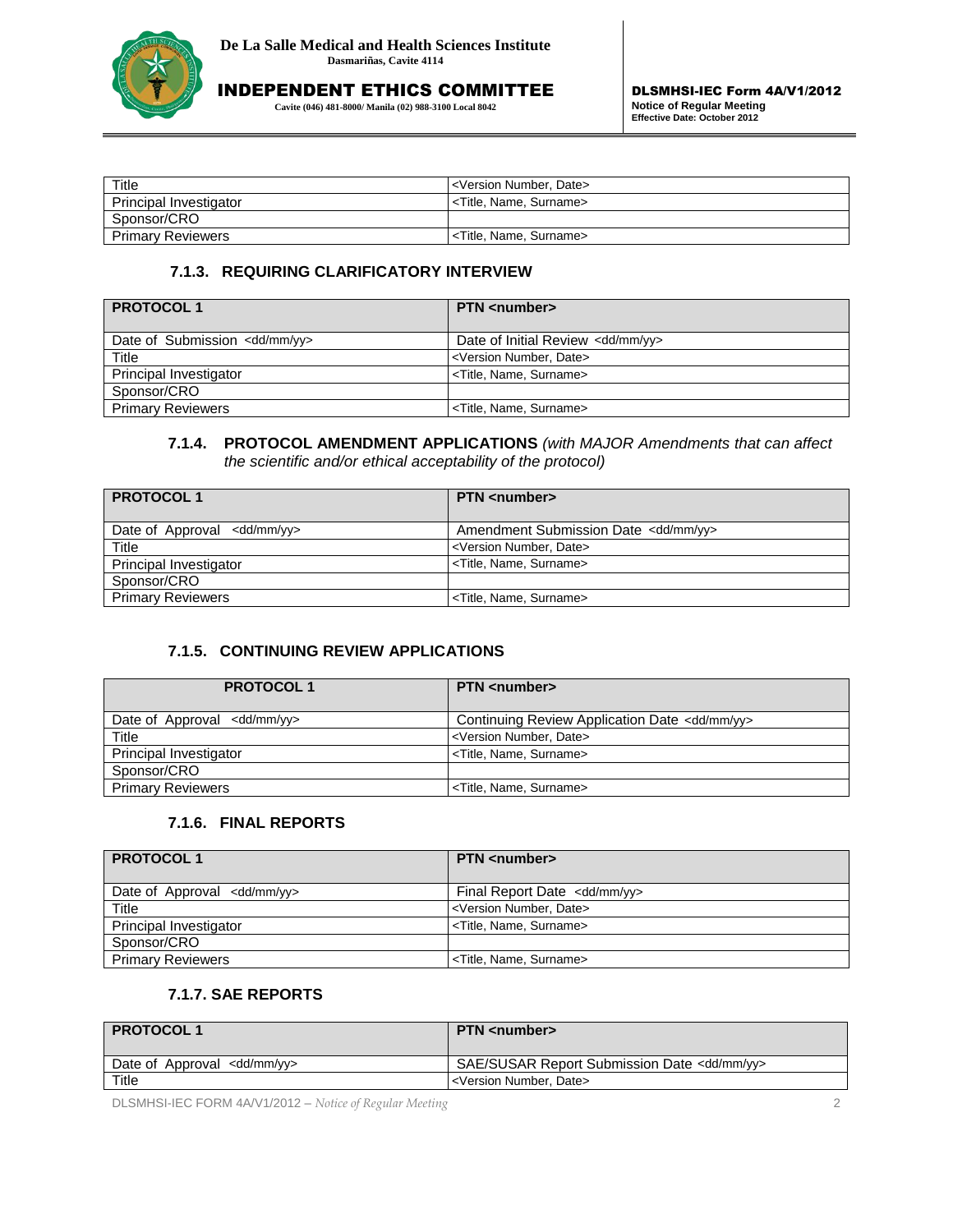

**Cavite (046) 481-8000/ Manila (02) 988-3100 Local 8042**

| Title                    | <version date="" number,=""></version> |
|--------------------------|----------------------------------------|
| Principal Investigator   | <title. name.="" surname=""></title.>  |
| Sponsor/CRO              |                                        |
| <b>Primary Reviewers</b> | <title, name,="" surname=""></title,>  |

#### **7.1.3. REQUIRING CLARIFICATORY INTERVIEW**

| <b>PROTOCOL1</b>                         | <b>PTN</b> <number></number>                 |
|------------------------------------------|----------------------------------------------|
| Date of Submission <dd mm="" yy=""></dd> | Date of Initial Review <dd mm="" yy=""></dd> |
| Title                                    | <version date="" number,=""></version>       |
| Principal Investigator                   | <title, name,="" surname=""></title,>        |
| Sponsor/CRO                              |                                              |
| <b>Primary Reviewers</b>                 | <title, name,="" surname=""></title,>        |

#### **7.1.4. PROTOCOL AMENDMENT APPLICATIONS** *(with MAJOR Amendments that can affect the scientific and/or ethical acceptability of the protocol)*

| <b>PROTOCOL1</b>                       | <b>PTN</b> <number></number>                    |
|----------------------------------------|-------------------------------------------------|
| Date of Approval <dd mm="" yy=""></dd> | Amendment Submission Date <dd mm="" yy=""></dd> |
| Title                                  | <version date="" number,=""></version>          |
| Principal Investigator                 | <title, name,="" surname=""></title,>           |
| Sponsor/CRO                            |                                                 |
| <b>Primary Reviewers</b>               | <title, name,="" surname=""></title,>           |

## **7.1.5. CONTINUING REVIEW APPLICATIONS**

| <b>PROTOCOL1</b>                       | <b>PTN</b> <number></number>                             |
|----------------------------------------|----------------------------------------------------------|
| Date of Approval <dd mm="" yy=""></dd> | Continuing Review Application Date <dd mm="" yy=""></dd> |
| Title                                  | <version date="" number,=""></version>                   |
| Principal Investigator                 | <title, name,="" surname=""></title,>                    |
| Sponsor/CRO                            |                                                          |
| <b>Primary Reviewers</b>               | <title, name,="" surname=""></title,>                    |

## **7.1.6. FINAL REPORTS**

| <b>PROTOCOL1</b>                       | <b>PTN</b> <number></number>            |
|----------------------------------------|-----------------------------------------|
| Date of Approval <dd mm="" yy=""></dd> | Final Report Date <dd mm="" yy=""></dd> |
| Title                                  | <version date="" number,=""></version>  |
| Principal Investigator                 | <title, name,="" surname=""></title,>   |
| Sponsor/CRO                            |                                         |
| <b>Primary Reviewers</b>               | <title, name,="" surname=""></title,>   |

## **7.1.7. SAE REPORTS**

| <b>PROTOCOL1</b>                       | <b>PTN</b> <number></number>                           |
|----------------------------------------|--------------------------------------------------------|
| Date of Approval <dd mm="" yy=""></dd> | SAE/SUSAR Report Submission Date <dd mm="" yy=""></dd> |
| Title                                  | <version date="" number,=""></version>                 |

DLSMHSI-IEC FORM 4A/V1/2012 – *Notice of Regular Meeting* 2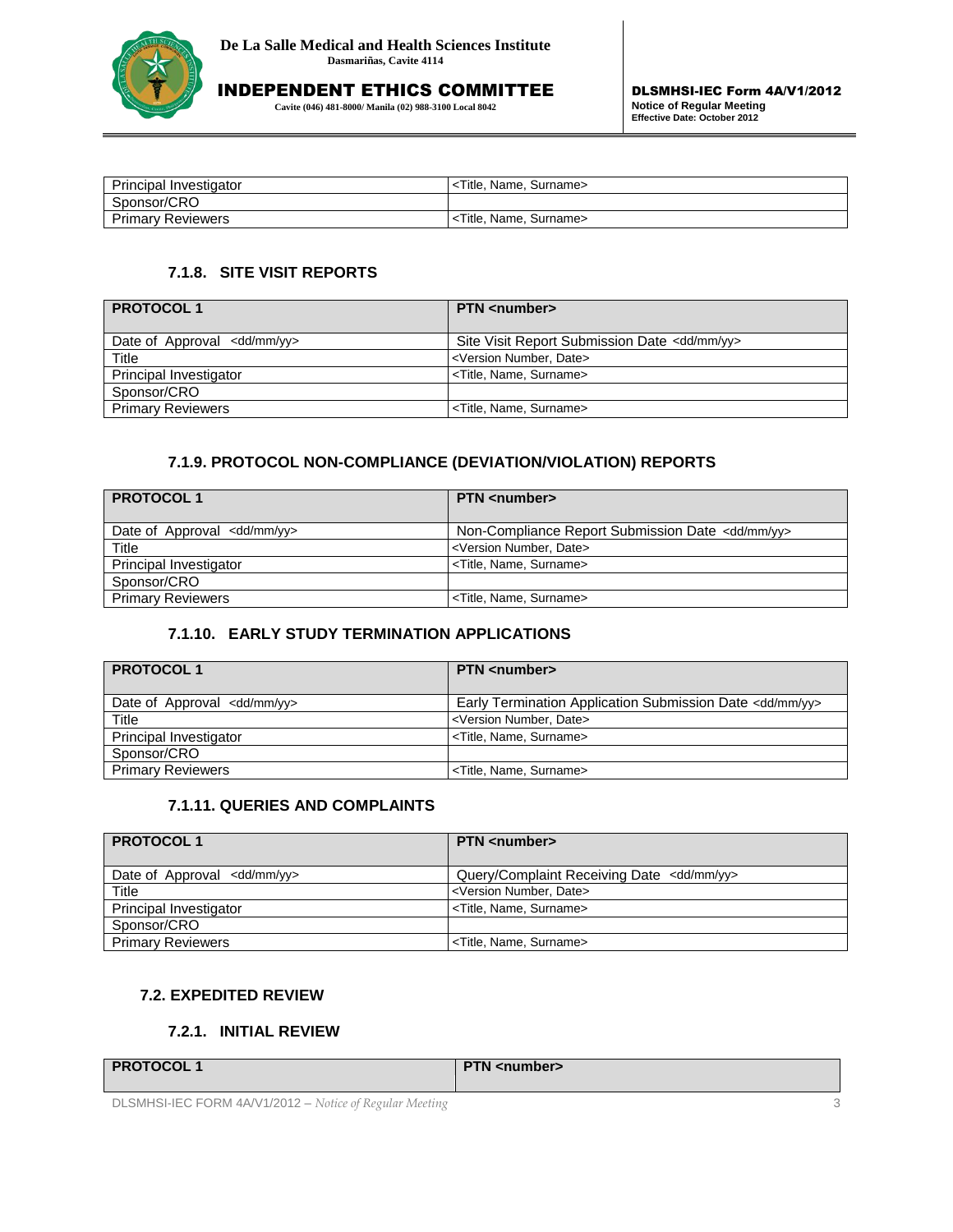

**Cavite (046) 481-8000/ Manila (02) 988-3100 Local 8042**

| <b>Principal Investigator</b> | <title, name,="" surname=""></title,> |
|-------------------------------|---------------------------------------|
| Sponsor/CRO                   |                                       |
| <b>Primary Reviewers</b>      | <title, name,="" surname=""></title,> |

## **7.1.8. SITE VISIT REPORTS**

| <b>PROTOCOL1</b>                       | <b>PTN</b> <number></number>                            |
|----------------------------------------|---------------------------------------------------------|
| Date of Approval <dd mm="" yy=""></dd> | Site Visit Report Submission Date <dd mm="" yy=""></dd> |
| Title                                  | <version date="" number,=""></version>                  |
| Principal Investigator                 | <title, name,="" surname=""></title,>                   |
| Sponsor/CRO                            |                                                         |
| <b>Primary Reviewers</b>               | <title, name,="" surname=""></title,>                   |

# **7.1.9. PROTOCOL NON-COMPLIANCE (DEVIATION/VIOLATION) REPORTS**

| <b>PROTOCOL1</b>                       | <b>PTN</b> <number></number>                                |
|----------------------------------------|-------------------------------------------------------------|
| Date of Approval <dd mm="" yy=""></dd> | Non-Compliance Report Submission Date <dd mm="" yy=""></dd> |
| Title                                  | <version date="" number,=""></version>                      |
| Principal Investigator                 | <title, name,="" surname=""></title,>                       |
| Sponsor/CRO                            |                                                             |
| <b>Primary Reviewers</b>               | <title, name,="" surname=""></title,>                       |

## **7.1.10. EARLY STUDY TERMINATION APPLICATIONS**

| <b>PROTOCOL1</b>                       | <b>PTN</b> <number></number>                                        |
|----------------------------------------|---------------------------------------------------------------------|
| Date of Approval <dd mm="" yy=""></dd> | Early Termination Application Submission Date <dd mm="" yy=""></dd> |
| Title                                  | <version date="" number,=""></version>                              |
| Principal Investigator                 | <title, name,="" surname=""></title,>                               |
| Sponsor/CRO                            |                                                                     |
| <b>Primary Reviewers</b>               | <title, name,="" surname=""></title,>                               |

# **7.1.11. QUERIES AND COMPLAINTS**

| <b>PROTOCOL1</b>                       | <b>PTN</b> <number></number>                         |
|----------------------------------------|------------------------------------------------------|
| Date of Approval <dd mm="" yy=""></dd> | Query/Complaint Receiving Date <dd mm="" yy=""></dd> |
| Title                                  | <version date="" number,=""></version>               |
| Principal Investigator                 | <title, name,="" surname=""></title,>                |
| Sponsor/CRO                            |                                                      |
| <b>Primary Reviewers</b>               | <title, name,="" surname=""></title,>                |

## **7.2. EXPEDITED REVIEW**

#### **7.2.1. INITIAL REVIEW**

**PTN** <number>

DLSMHSI-IEC FORM 4A/V1/2012 – *Notice of Regular Meeting* 3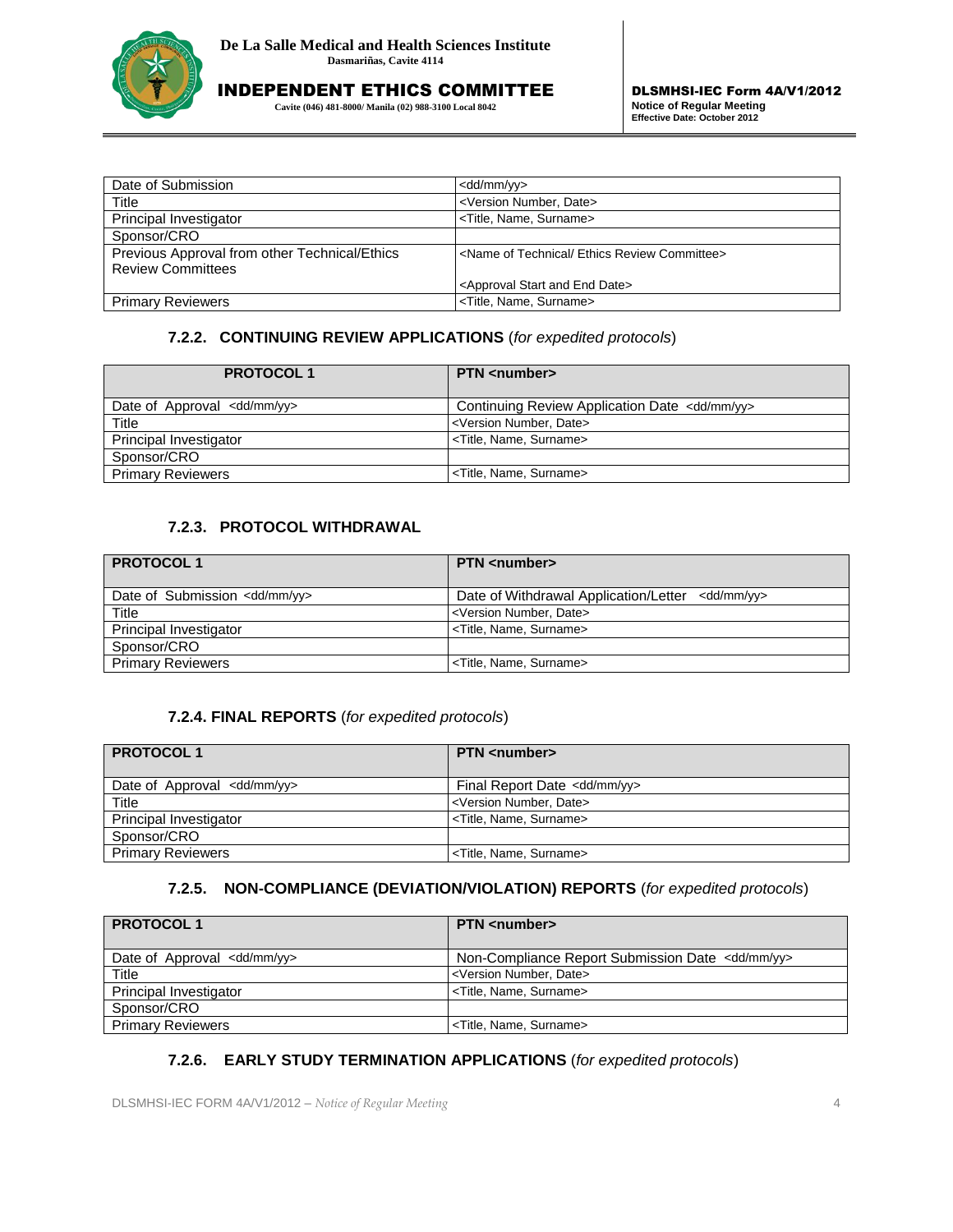

**Cavite (046) 481-8000/ Manila (02) 988-3100 Local 8042**

| Date of Submission                            | <dd mm="" yy=""></dd>                                             |
|-----------------------------------------------|-------------------------------------------------------------------|
| Title                                         | <version date="" number,=""></version>                            |
| Principal Investigator                        | <title, name,="" surname=""></title,>                             |
| Sponsor/CRO                                   |                                                                   |
| Previous Approval from other Technical/Ethics | <name committee="" ethics="" of="" review="" technical=""></name> |
| <b>Review Committees</b>                      |                                                                   |
|                                               | <approval and="" date="" end="" start=""></approval>              |
| <b>Primary Reviewers</b>                      | <title, name,="" surname=""></title,>                             |

# **7.2.2. CONTINUING REVIEW APPLICATIONS** (*for expedited protocols*)

| <b>PROTOCOL1</b>                    | <b>PTN</b> <number></number>                             |
|-------------------------------------|----------------------------------------------------------|
| Date of Approval $\lt d\ll d/mm/yy$ | Continuing Review Application Date <dd mm="" yy=""></dd> |
| Title                               | <version date="" number,=""></version>                   |
| Principal Investigator              | <title, name,="" surname=""></title,>                    |
| Sponsor/CRO                         |                                                          |
| <b>Primary Reviewers</b>            | <title, name,="" surname=""></title,>                    |

## **7.2.3. PROTOCOL WITHDRAWAL**

| <b>PROTOCOL1</b>                         | <b>PTN</b> <number></number>                                |
|------------------------------------------|-------------------------------------------------------------|
| Date of Submission <dd mm="" yy=""></dd> | Date of Withdrawal Application/Letter <dd mm="" yy=""></dd> |
| Title                                    | <version date="" number,=""></version>                      |
| Principal Investigator                   | <title, name,="" surname=""></title,>                       |
| Sponsor/CRO                              |                                                             |
| <b>Primary Reviewers</b>                 | <title, name,="" surname=""></title,>                       |

#### **7.2.4. FINAL REPORTS** (*for expedited protocols*)

| <b>PROTOCOL1</b>                     | <b>PTN</b> <number></number>            |
|--------------------------------------|-----------------------------------------|
| Date of Approval $\lt d\ll d/mm/yy>$ | Final Report Date <dd mm="" yy=""></dd> |
| Title                                | <version date="" number,=""></version>  |
| Principal Investigator               | <title, name,="" surname=""></title,>   |
| Sponsor/CRO                          |                                         |
| <b>Primary Reviewers</b>             | <title, name,="" surname=""></title,>   |

#### **7.2.5. NON-COMPLIANCE (DEVIATION/VIOLATION) REPORTS** (*for expedited protocols*)

| <b>PROTOCOL1</b>                       | <b>PTN</b> <number></number>                                |
|----------------------------------------|-------------------------------------------------------------|
| Date of Approval <dd mm="" yy=""></dd> | Non-Compliance Report Submission Date <dd mm="" yy=""></dd> |
| Title                                  | <version date="" number,=""></version>                      |
| Principal Investigator                 | <title, name,="" surname=""></title,>                       |
| Sponsor/CRO                            |                                                             |
| <b>Primary Reviewers</b>               | <title, name,="" surname=""></title,>                       |

## **7.2.6. EARLY STUDY TERMINATION APPLICATIONS** (*for expedited protocols*)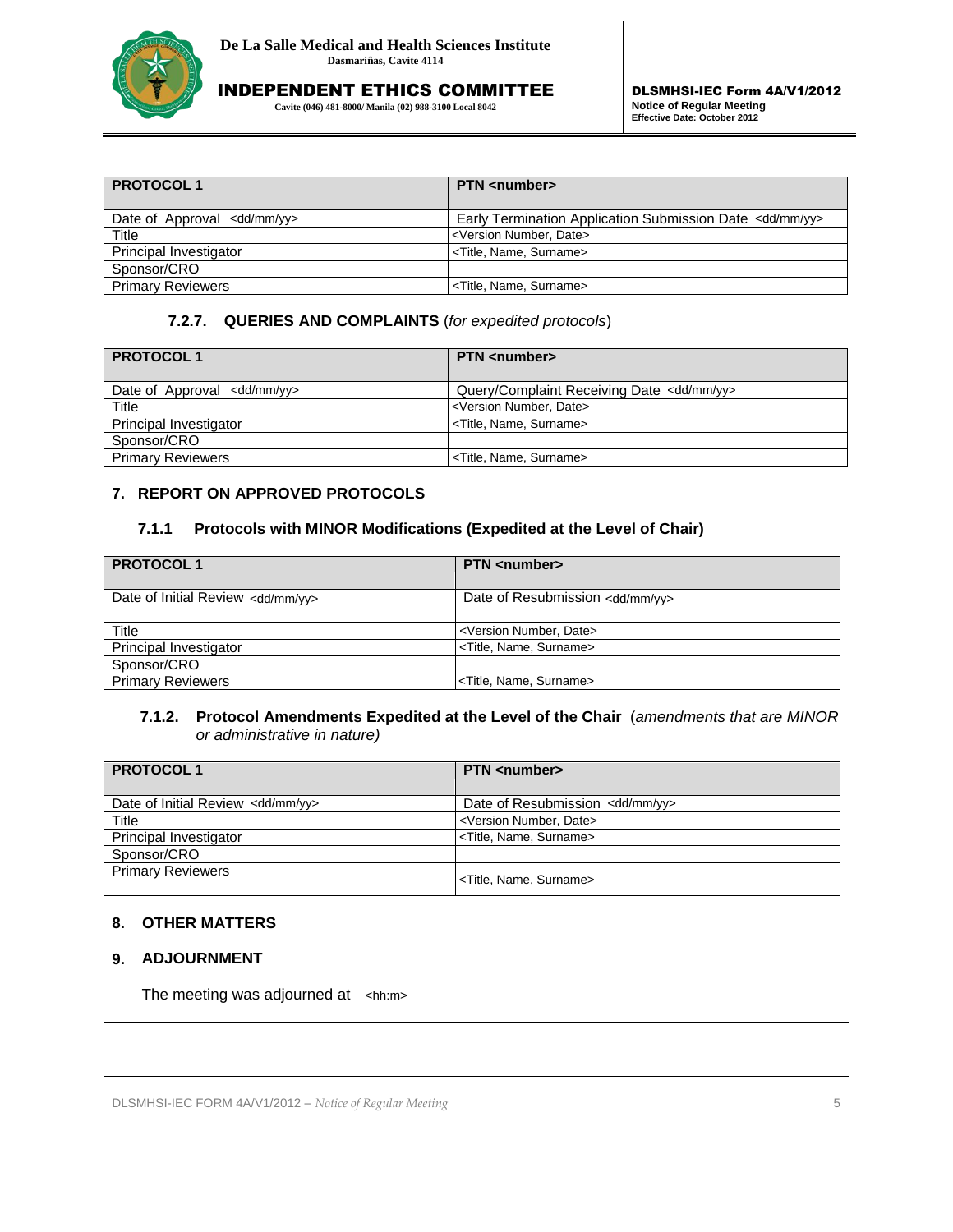

**Cavite (046) 481-8000/ Manila (02) 988-3100 Local 8042**

| <b>PROTOCOL1</b>                         | <b>PTN</b> <number></number>                                        |
|------------------------------------------|---------------------------------------------------------------------|
| Date of Approval $\lt d\frac{d}{m}$ /yy> | Early Termination Application Submission Date <dd mm="" yy=""></dd> |
| Title                                    | <version date="" number,=""></version>                              |
| Principal Investigator                   | <title, name,="" surname=""></title,>                               |
| Sponsor/CRO                              |                                                                     |
| <b>Primary Reviewers</b>                 | <title, name,="" surname=""></title,>                               |

#### **7.2.7. QUERIES AND COMPLAINTS** (*for expedited protocols*)

| <b>PROTOCOL1</b>                       | <b>PTN</b> <number></number>                         |
|----------------------------------------|------------------------------------------------------|
| Date of Approval <dd mm="" yy=""></dd> | Query/Complaint Receiving Date <dd mm="" yy=""></dd> |
| Title                                  | <version date="" number,=""></version>               |
| Principal Investigator                 | <title, name,="" surname=""></title,>                |
| Sponsor/CRO                            |                                                      |
| <b>Primary Reviewers</b>               | <title, name,="" surname=""></title,>                |

#### **7. REPORT ON APPROVED PROTOCOLS**

#### **7.1.1 Protocols with MINOR Modifications (Expedited at the Level of Chair)**

| <b>PROTOCOL1</b>                             | <b>PTN</b> <number></number>               |
|----------------------------------------------|--------------------------------------------|
| Date of Initial Review <dd mm="" yy=""></dd> | Date of Resubmission <dd mm="" yy=""></dd> |
| Title                                        | <version date="" number,=""></version>     |
| Principal Investigator                       | <title, name,="" surname=""></title,>      |
| Sponsor/CRO                                  |                                            |
| <b>Primary Reviewers</b>                     | <title, name,="" surname=""></title,>      |

#### **7.1.2. Protocol Amendments Expedited at the Level of the Chair** (*amendments that are MINOR or administrative in nature)*

| <b>PROTOCOL1</b>                             | <b>PTN</b> <number></number>               |
|----------------------------------------------|--------------------------------------------|
| Date of Initial Review <dd mm="" yy=""></dd> | Date of Resubmission <dd mm="" yy=""></dd> |
| Title                                        | <version date="" number,=""></version>     |
| Principal Investigator                       | <title, name,="" surname=""></title,>      |
| Sponsor/CRO                                  |                                            |
| <b>Primary Reviewers</b>                     | <title, name,="" surname=""></title,>      |

# **8. OTHER MATTERS**

## **9. ADJOURNMENT**

The meeting was adjourned at <hh:m>